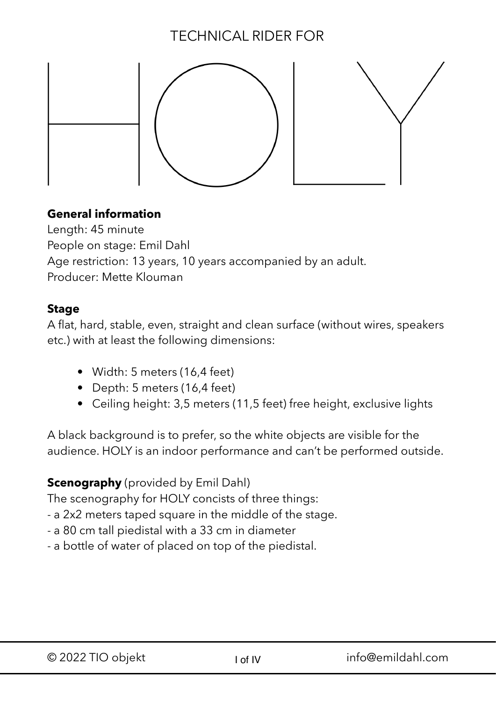# TECHNICAL RIDER FOR



## **General information**

Length: 45 minute People on stage: Emil Dahl Age restriction: 13 years, 10 years accompanied by an adult. Producer: Mette Klouman

#### **Stage**

A flat, hard, stable, even, straight and clean surface (without wires, speakers etc.) with at least the following dimensions:

- Width: 5 meters (16,4 feet)
- Depth: 5 meters (16,4 feet)
- Ceiling height: 3,5 meters (11,5 feet) free height, exclusive lights

A black background is to prefer, so the white objects are visible for the audience. HOLY is an indoor performance and can't be performed outside.

## **Scenography** (provided by Emil Dahl)

The scenography for HOLY concists of three things:

- a 2x2 meters taped square in the middle of the stage.
- a 80 cm tall piedistal with a 33 cm in diameter
- a bottle of water of placed on top of the piedistal.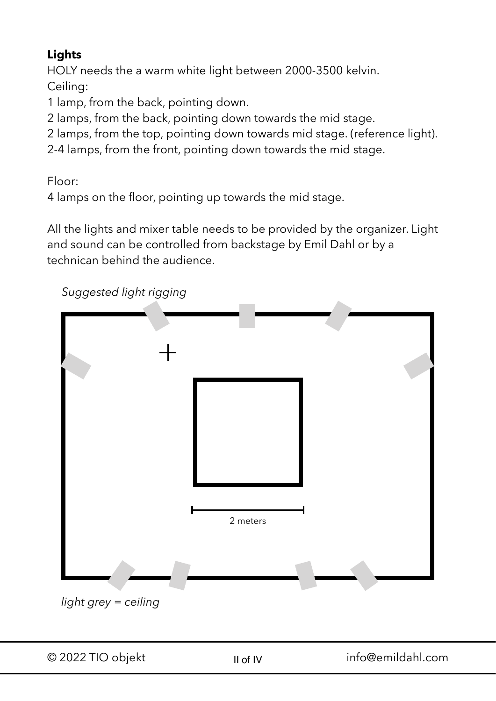## **Lights**

HOLY needs the a warm white light between 2000-3500 kelvin. Ceiling:

1 lamp, from the back, pointing down.

- 2 lamps, from the back, pointing down towards the mid stage.
- 2 lamps, from the top, pointing down towards mid stage. (reference light).
- 2-4 lamps, from the front, pointing down towards the mid stage.

Floor:

4 lamps on the floor, pointing up towards the mid stage.

All the lights and mixer table needs to be provided by the organizer. Light and sound can be controlled from backstage by Emil Dahl or by a technican behind the audience.

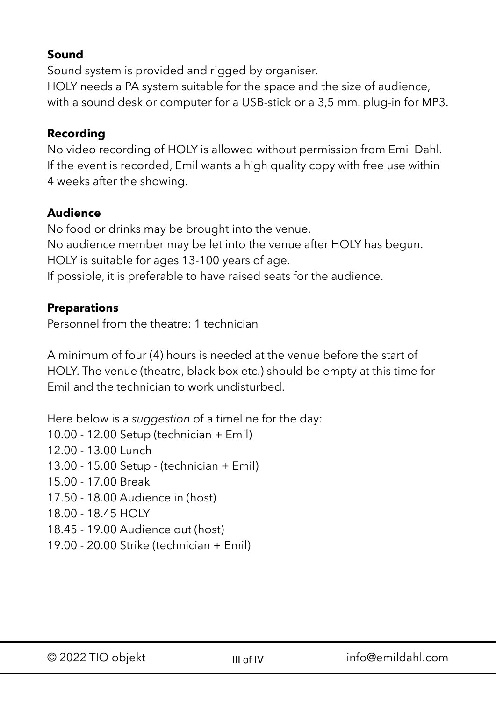#### **Sound**

Sound system is provided and rigged by organiser. HOLY needs a PA system suitable for the space and the size of audience, with a sound desk or computer for a USB-stick or a 3,5 mm. plug-in for MP3.

#### **Recording**

No video recording of HOLY is allowed without permission from Emil Dahl. If the event is recorded, Emil wants a high quality copy with free use within 4 weeks after the showing.

## **Audience**

No food or drinks may be brought into the venue. No audience member may be let into the venue after HOLY has begun. HOLY is suitable for ages 13-100 years of age. If possible, it is preferable to have raised seats for the audience.

#### **Preparations**

Personnel from the theatre: 1 technician

A minimum of four (4) hours is needed at the venue before the start of HOLY. The venue (theatre, black box etc.) should be empty at this time for Emil and the technician to work undisturbed.

Here below is a *suggestion* of a timeline for the day: 10.00 - 12.00 Setup (technician + Emil) 12.00 - 13.00 Lunch 13.00 - 15.00 Setup - (technician + Emil) 15.00 - 17.00 Break 17.50 - 18.00 Audience in (host) 18.00 - 18.45 HOLY 18.45 - 19.00 Audience out (host) 19.00 - 20.00 Strike (technician + Emil)